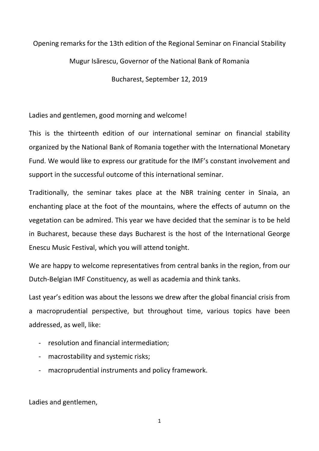## Opening remarks for the 13th edition of the Regional Seminar on Financial Stability

## Mugur Isărescu, Governor of the National Bank of Romania

Bucharest, September 12, 2019

Ladies and gentlemen, good morning and welcome!

This is the thirteenth edition of our international seminar on financial stability organized by the National Bank of Romania together with the International Monetary Fund. We would like to express our gratitude for the IMF's constant involvement and support in the successful outcome of this international seminar.

Traditionally, the seminar takes place at the NBR training center in Sinaia, an enchanting place at the foot of the mountains, where the effects of autumn on the vegetation can be admired. This year we have decided that the seminar is to be held in Bucharest, because these days Bucharest is the host of the International George Enescu Music Festival, which you will attend tonight.

We are happy to welcome representatives from central banks in the region, from our Dutch-Belgian IMF Constituency, as well as academia and think tanks.

Last year's edition was about the lessons we drew after the global financial crisis from a macroprudential perspective, but throughout time, various topics have been addressed, as well, like:

- resolution and financial intermediation;
- macrostability and systemic risks;
- macroprudential instruments and policy framework.

Ladies and gentlemen,

1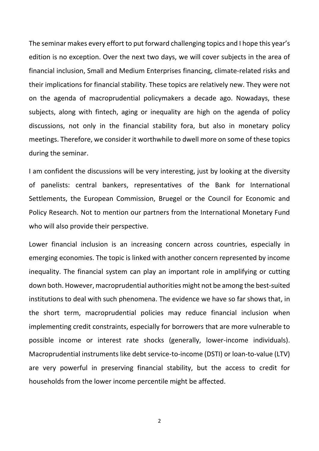The seminar makes every effort to put forward challenging topics and I hope this year's edition is no exception. Over the next two days, we will cover subjects in the area of financial inclusion, Small and Medium Enterprises financing, climate-related risks and their implications for financial stability. These topics are relatively new. They were not on the agenda of macroprudential policymakers a decade ago. Nowadays, these subjects, along with fintech, aging or inequality are high on the agenda of policy discussions, not only in the financial stability fora, but also in monetary policy meetings. Therefore, we consider it worthwhile to dwell more on some of these topics during the seminar.

I am confident the discussions will be very interesting, just by looking at the diversity of panelists: central bankers, representatives of the Bank for International Settlements, the European Commission, Bruegel or the Council for Economic and Policy Research. Not to mention our partners from the International Monetary Fund who will also provide their perspective.

Lower financial inclusion is an increasing concern across countries, especially in emerging economies. The topic is linked with another concern represented by income inequality. The financial system can play an important role in amplifying or cutting down both. However, macroprudential authorities might not be among the best-suited institutions to deal with such phenomena. The evidence we have so far shows that, in the short term, macroprudential policies may reduce financial inclusion when implementing credit constraints, especially for borrowers that are more vulnerable to possible income or interest rate shocks (generally, lower-income individuals). Macroprudential instruments like debt service-to-income (DSTI) or loan-to-value (LTV) are very powerful in preserving financial stability, but the access to credit for households from the lower income percentile might be affected.

2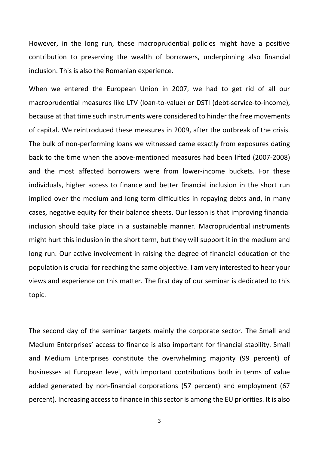However, in the long run, these macroprudential policies might have a positive contribution to preserving the wealth of borrowers, underpinning also financial inclusion. This is also the Romanian experience.

When we entered the European Union in 2007, we had to get rid of all our macroprudential measures like LTV (loan-to-value) or DSTI (debt-service-to-income), because at that time such instruments were considered to hinder the free movements of capital. We reintroduced these measures in 2009, after the outbreak of the crisis. The bulk of non-performing loans we witnessed came exactly from exposures dating back to the time when the above-mentioned measures had been lifted (2007-2008) and the most affected borrowers were from lower-income buckets. For these individuals, higher access to finance and better financial inclusion in the short run implied over the medium and long term difficulties in repaying debts and, in many cases, negative equity for their balance sheets. Our lesson is that improving financial inclusion should take place in a sustainable manner. Macroprudential instruments might hurt this inclusion in the short term, but they will support it in the medium and long run. Our active involvement in raising the degree of financial education of the population is crucial for reaching the same objective. I am very interested to hear your views and experience on this matter. The first day of our seminar is dedicated to this topic.

The second day of the seminar targets mainly the corporate sector. The Small and Medium Enterprises' access to finance is also important for financial stability. Small and Medium Enterprises constitute the overwhelming majority (99 percent) of businesses at European level, with important contributions both in terms of value added generated by non-financial corporations (57 percent) and employment (67 percent). Increasing access to finance in this sector is among the EU priorities. It is also

3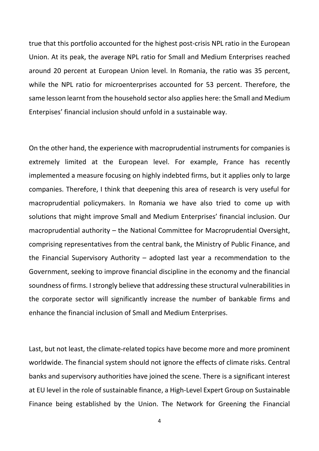true that this portfolio accounted for the highest post-crisis NPL ratio in the European Union. At its peak, the average NPL ratio for Small and Medium Enterprises reached around 20 percent at European Union level. In Romania, the ratio was 35 percent, while the NPL ratio for microenterprises accounted for 53 percent. Therefore, the same lesson learnt from the household sector also applies here: the Small and Medium Enterpises' financial inclusion should unfold in a sustainable way.

On the other hand, the experience with macroprudential instruments for companies is extremely limited at the European level. For example, France has recently implemented a measure focusing on highly indebted firms, but it applies only to large companies. Therefore, I think that deepening this area of research is very useful for macroprudential policymakers. In Romania we have also tried to come up with solutions that might improve Small and Medium Enterprises' financial inclusion. Our macroprudential authority – the National Committee for Macroprudential Oversight, comprising representatives from the central bank, the Ministry of Public Finance, and the Financial Supervisory Authority – adopted last year a recommendation to the Government, seeking to improve financial discipline in the economy and the financial soundness of firms. I strongly believe that addressing these structural vulnerabilities in the corporate sector will significantly increase the number of bankable firms and enhance the financial inclusion of Small and Medium Enterprises.

Last, but not least, the climate-related topics have become more and more prominent worldwide. The financial system should not ignore the effects of climate risks. Central banks and supervisory authorities have joined the scene. There is a significant interest at EU level in the role of sustainable finance, a High-Level Expert Group on Sustainable Finance being established by the Union. The Network for Greening the Financial